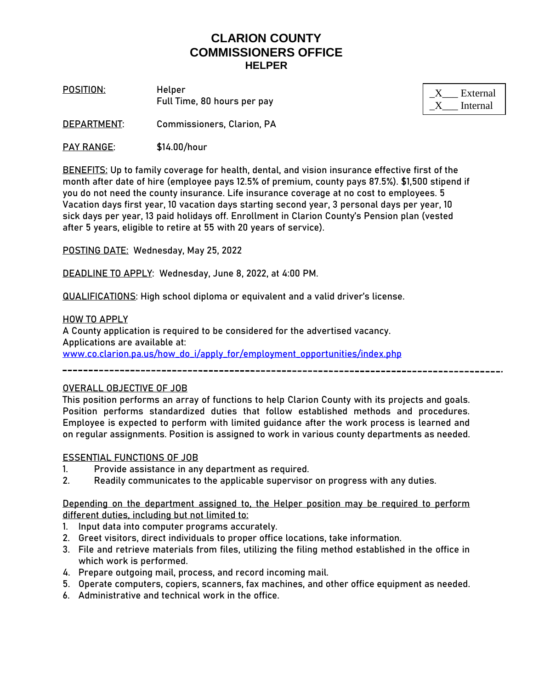# **CLARION COUNTY COMMISSIONERS OFFICE HELPER**

**POSITION**: **Helper** Full Time, 80 hours per pay

| External |
|----------|
| Internal |

**DEPARTMENT**: Commissioners, Clarion, PA

**PAY RANGE**: \$14.00/hour

**BENEFITS:** Up to family coverage for health, dental, and vision insurance effective first of the month after date of hire (employee pays 12.5% of premium, county pays 87.5%). \$1,500 stipend if you do not need the county insurance. Life insurance coverage at no cost to employees. 5 Vacation days first year, 10 vacation days starting second year, 3 personal days per year, 10 sick days per year, 13 paid holidays off. Enrollment in Clarion County's Pension plan (vested after 5 years, eligible to retire at 55 with 20 years of service).

**POSTING DATE:** Wednesday, May 25, 2022

**DEADLINE TO APPLY:** Wednesday, June 8, 2022, at 4:00 PM.

**QUALIFICATIONS:** High school diploma or equivalent and a valid driver's license.

**HOW TO APPLY** A County application is required to be considered for the advertised vacancy. Applications are available at: [www.co.clarion.pa.us/how\\_do\\_i/apply\\_for/employment\\_opportunities/index.php](http://www.co.clarion.pa.us/how_do_i/apply_for/employment_opportunities/index.php)

### OVERALL OBJECTIVE OF JOB

This position performs an array of functions to help Clarion County with its projects and goals. Position performs standardized duties that follow established methods and procedures. Employee is expected to perform with limited guidance after the work process is learned and on regular assignments. Position is assigned to work in various county departments as needed.

#### ESSENTIAL FUNCTIONS OF JOB

- 1. Provide assistance in any department as required.
- 2. Readily communicates to the applicable supervisor on progress with any duties.

Depending on the department assigned to, the Helper position may be required to perform different duties, including but not limited to:

- 1. Input data into computer programs accurately.
- 2. Greet visitors, direct individuals to proper office locations, take information.
- 3. File and retrieve materials from files, utilizing the filing method established in the office in which work is performed.
- 4. Prepare outgoing mail, process, and record incoming mail.
- 5. Operate computers, copiers, scanners, fax machines, and other office equipment as needed.
- 6. Administrative and technical work in the office.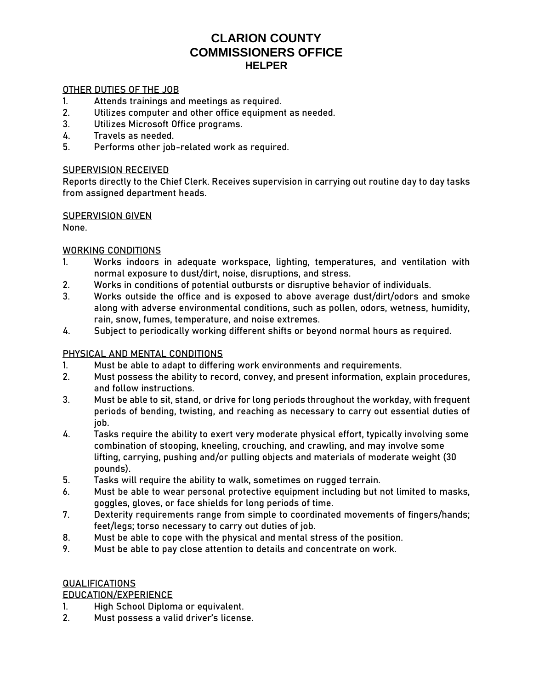# **CLARION COUNTY COMMISSIONERS OFFICE HELPER**

### OTHER DUTIES OF THE JOB

- 1. Attends trainings and meetings as required.
- 2. Utilizes computer and other office equipment as needed.
- 3. Utilizes Microsoft Office programs.
- 4. Travels as needed.
- 5. Performs other job-related work as required.

### SUPERVISION RECEIVED

Reports directly to the Chief Clerk. Receives supervision in carrying out routine day to day tasks from assigned department heads.

#### SUPERVISION GIVEN

None.

## WORKING CONDITIONS

- 1. Works indoors in adequate workspace, lighting, temperatures, and ventilation with normal exposure to dust/dirt, noise, disruptions, and stress.
- 2. Works in conditions of potential outbursts or disruptive behavior of individuals.
- 3. Works outside the office and is exposed to above average dust/dirt/odors and smoke along with adverse environmental conditions, such as pollen, odors, wetness, humidity, rain, snow, fumes, temperature, and noise extremes.
- 4. Subject to periodically working different shifts or beyond normal hours as required.

## PHYSICAL AND MENTAL CONDITIONS

- 1. Must be able to adapt to differing work environments and requirements.
- 2. Must possess the ability to record, convey, and present information, explain procedures, and follow instructions.
- 3. Must be able to sit, stand, or drive for long periods throughout the workday, with frequent periods of bending, twisting, and reaching as necessary to carry out essential duties of job.
- 4. Tasks require the ability to exert very moderate physical effort, typically involving some combination of stooping, kneeling, crouching, and crawling, and may involve some lifting, carrying, pushing and/or pulling objects and materials of moderate weight (30 pounds).
- 5. Tasks will require the ability to walk, sometimes on rugged terrain.
- 6. Must be able to wear personal protective equipment including but not limited to masks, goggles, gloves, or face shields for long periods of time.
- 7. Dexterity requirements range from simple to coordinated movements of fingers/hands; feet/legs; torso necessary to carry out duties of job.
- 8. Must be able to cope with the physical and mental stress of the position.
- 9. Must be able to pay close attention to details and concentrate on work.

### QUALIFICATIONS

## EDUCATION/EXPERIENCE

- 1. High School Diploma or equivalent.
- 2. Must possess a valid driver's license.